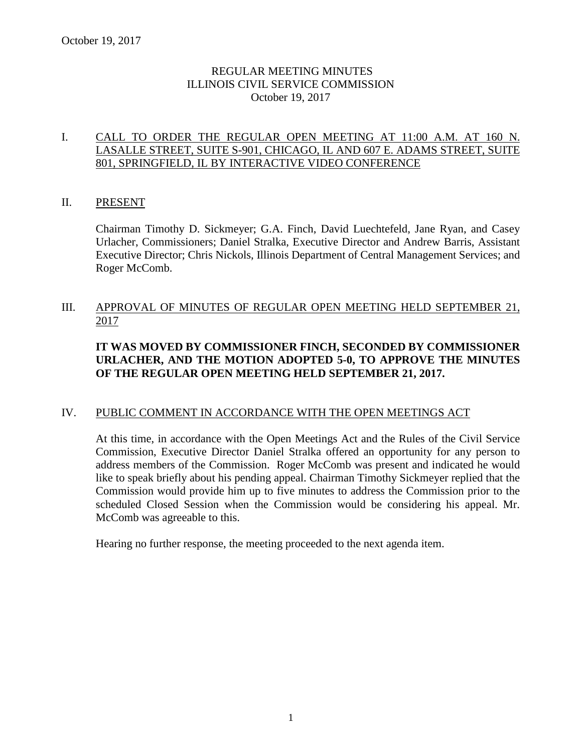# REGULAR MEETING MINUTES ILLINOIS CIVIL SERVICE COMMISSION October 19, 2017

# I. CALL TO ORDER THE REGULAR OPEN MEETING AT 11:00 A.M. AT 160 N. LASALLE STREET, SUITE S-901, CHICAGO, IL AND 607 E. ADAMS STREET, SUITE 801, SPRINGFIELD, IL BY INTERACTIVE VIDEO CONFERENCE

# II. PRESENT

Chairman Timothy D. Sickmeyer; G.A. Finch, David Luechtefeld, Jane Ryan, and Casey Urlacher, Commissioners; Daniel Stralka, Executive Director and Andrew Barris, Assistant Executive Director; Chris Nickols, Illinois Department of Central Management Services; and Roger McComb.

# III. APPROVAL OF MINUTES OF REGULAR OPEN MEETING HELD SEPTEMBER 21, 2017

# **IT WAS MOVED BY COMMISSIONER FINCH, SECONDED BY COMMISSIONER URLACHER, AND THE MOTION ADOPTED 5-0, TO APPROVE THE MINUTES OF THE REGULAR OPEN MEETING HELD SEPTEMBER 21, 2017.**

### IV. PUBLIC COMMENT IN ACCORDANCE WITH THE OPEN MEETINGS ACT

At this time, in accordance with the Open Meetings Act and the Rules of the Civil Service Commission, Executive Director Daniel Stralka offered an opportunity for any person to address members of the Commission. Roger McComb was present and indicated he would like to speak briefly about his pending appeal. Chairman Timothy Sickmeyer replied that the Commission would provide him up to five minutes to address the Commission prior to the scheduled Closed Session when the Commission would be considering his appeal. Mr. McComb was agreeable to this.

Hearing no further response, the meeting proceeded to the next agenda item.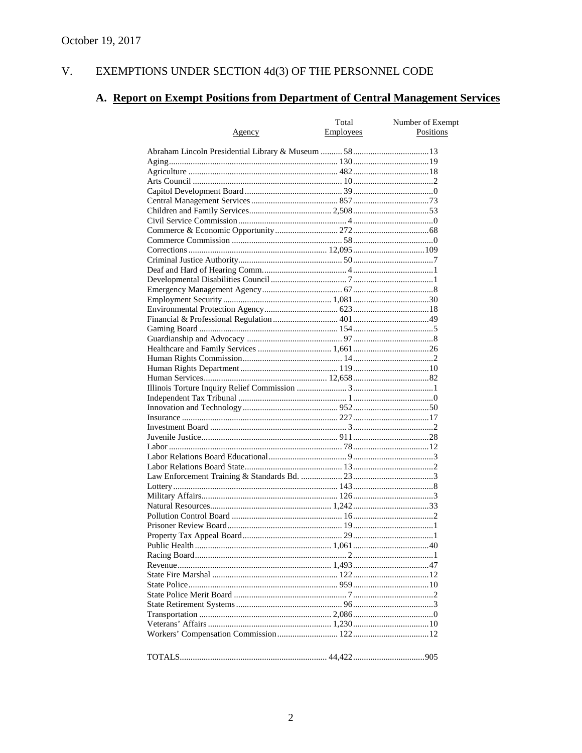#### $V<sub>r</sub>$ EXEMPTIONS UNDER SECTION 4d(3) OF THE PERSONNEL CODE

# A. Report on Exempt Positions from Department of Central Management Services

|               | Total            | Number of Exempt<br>Positions |  |  |
|---------------|------------------|-------------------------------|--|--|
| <u>Agency</u> | <b>Employees</b> |                               |  |  |
|               |                  |                               |  |  |
|               |                  |                               |  |  |
|               |                  |                               |  |  |
|               |                  |                               |  |  |
|               |                  |                               |  |  |
|               |                  |                               |  |  |
|               |                  |                               |  |  |
|               |                  |                               |  |  |
|               |                  |                               |  |  |
|               |                  |                               |  |  |
|               |                  |                               |  |  |
|               |                  |                               |  |  |
|               |                  |                               |  |  |
|               |                  |                               |  |  |
|               |                  |                               |  |  |
|               |                  |                               |  |  |
|               |                  |                               |  |  |
|               |                  |                               |  |  |
|               |                  |                               |  |  |
|               |                  |                               |  |  |
|               |                  |                               |  |  |
|               |                  |                               |  |  |
|               |                  |                               |  |  |
|               |                  |                               |  |  |
|               |                  |                               |  |  |
|               |                  |                               |  |  |
|               |                  |                               |  |  |
|               |                  |                               |  |  |
|               |                  |                               |  |  |
|               |                  |                               |  |  |
|               |                  |                               |  |  |
|               |                  |                               |  |  |
|               |                  |                               |  |  |
|               |                  |                               |  |  |
|               |                  |                               |  |  |
|               |                  |                               |  |  |
|               |                  |                               |  |  |
|               |                  |                               |  |  |
|               |                  |                               |  |  |
|               |                  |                               |  |  |
|               |                  |                               |  |  |
|               |                  |                               |  |  |
|               |                  |                               |  |  |
|               |                  |                               |  |  |
|               |                  |                               |  |  |
|               |                  |                               |  |  |
|               |                  |                               |  |  |
|               |                  |                               |  |  |
|               |                  |                               |  |  |
|               |                  |                               |  |  |
|               |                  |                               |  |  |
|               |                  |                               |  |  |
|               |                  |                               |  |  |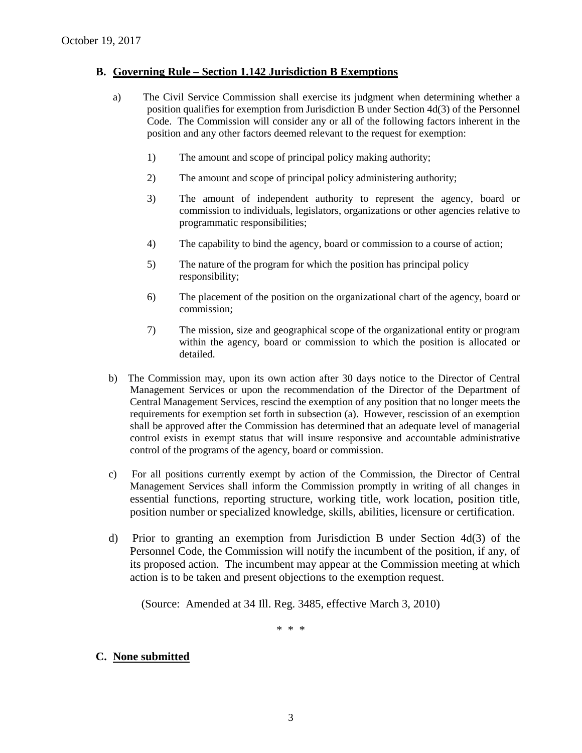### **B. Governing Rule – Section 1.142 Jurisdiction B Exemptions**

- a) The Civil Service Commission shall exercise its judgment when determining whether a position qualifies for exemption from Jurisdiction B under Section 4d(3) of the Personnel Code. The Commission will consider any or all of the following factors inherent in the position and any other factors deemed relevant to the request for exemption:
	- 1) The amount and scope of principal policy making authority;
	- 2) The amount and scope of principal policy administering authority;
	- 3) The amount of independent authority to represent the agency, board or commission to individuals, legislators, organizations or other agencies relative to programmatic responsibilities;
	- 4) The capability to bind the agency, board or commission to a course of action;
	- 5) The nature of the program for which the position has principal policy responsibility;
	- 6) The placement of the position on the organizational chart of the agency, board or commission;
	- 7) The mission, size and geographical scope of the organizational entity or program within the agency, board or commission to which the position is allocated or detailed.
- b) The Commission may, upon its own action after 30 days notice to the Director of Central Management Services or upon the recommendation of the Director of the Department of Central Management Services, rescind the exemption of any position that no longer meets the requirements for exemption set forth in subsection (a). However, rescission of an exemption shall be approved after the Commission has determined that an adequate level of managerial control exists in exempt status that will insure responsive and accountable administrative control of the programs of the agency, board or commission.
- c) For all positions currently exempt by action of the Commission, the Director of Central Management Services shall inform the Commission promptly in writing of all changes in essential functions, reporting structure, working title, work location, position title, position number or specialized knowledge, skills, abilities, licensure or certification.
- d) Prior to granting an exemption from Jurisdiction B under Section 4d(3) of the Personnel Code, the Commission will notify the incumbent of the position, if any, of its proposed action. The incumbent may appear at the Commission meeting at which action is to be taken and present objections to the exemption request.

(Source: Amended at 34 Ill. Reg. 3485, effective March 3, 2010)

\* \* \*

# **C. None submitted**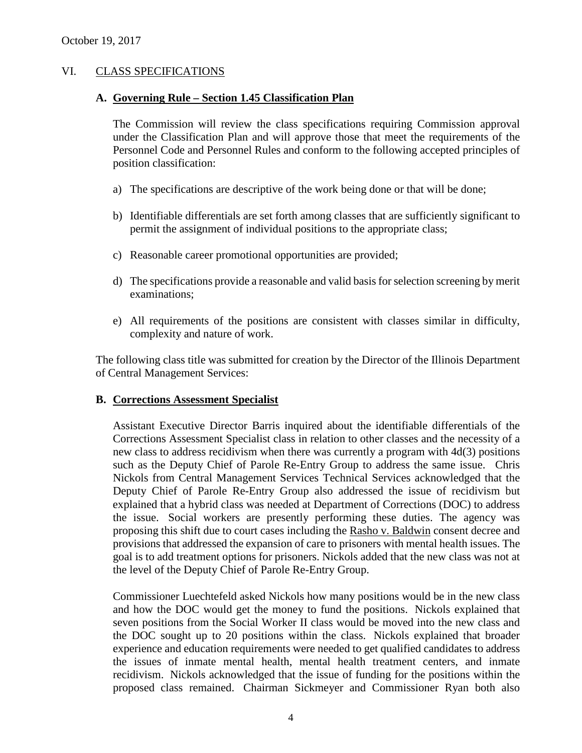# VI. CLASS SPECIFICATIONS

#### **A. Governing Rule – Section 1.45 Classification Plan**

The Commission will review the class specifications requiring Commission approval under the Classification Plan and will approve those that meet the requirements of the Personnel Code and Personnel Rules and conform to the following accepted principles of position classification:

- a) The specifications are descriptive of the work being done or that will be done;
- b) Identifiable differentials are set forth among classes that are sufficiently significant to permit the assignment of individual positions to the appropriate class;
- c) Reasonable career promotional opportunities are provided;
- d) The specifications provide a reasonable and valid basis for selection screening by merit examinations;
- e) All requirements of the positions are consistent with classes similar in difficulty, complexity and nature of work.

The following class title was submitted for creation by the Director of the Illinois Department of Central Management Services:

### **B. Corrections Assessment Specialist**

Assistant Executive Director Barris inquired about the identifiable differentials of the Corrections Assessment Specialist class in relation to other classes and the necessity of a new class to address recidivism when there was currently a program with 4d(3) positions such as the Deputy Chief of Parole Re-Entry Group to address the same issue. Chris Nickols from Central Management Services Technical Services acknowledged that the Deputy Chief of Parole Re-Entry Group also addressed the issue of recidivism but explained that a hybrid class was needed at Department of Corrections (DOC) to address the issue. Social workers are presently performing these duties. The agency was proposing this shift due to court cases including the Rasho v. Baldwin consent decree and provisions that addressed the expansion of care to prisoners with mental health issues. The goal is to add treatment options for prisoners. Nickols added that the new class was not at the level of the Deputy Chief of Parole Re-Entry Group.

Commissioner Luechtefeld asked Nickols how many positions would be in the new class and how the DOC would get the money to fund the positions. Nickols explained that seven positions from the Social Worker II class would be moved into the new class and the DOC sought up to 20 positions within the class. Nickols explained that broader experience and education requirements were needed to get qualified candidates to address the issues of inmate mental health, mental health treatment centers, and inmate recidivism. Nickols acknowledged that the issue of funding for the positions within the proposed class remained. Chairman Sickmeyer and Commissioner Ryan both also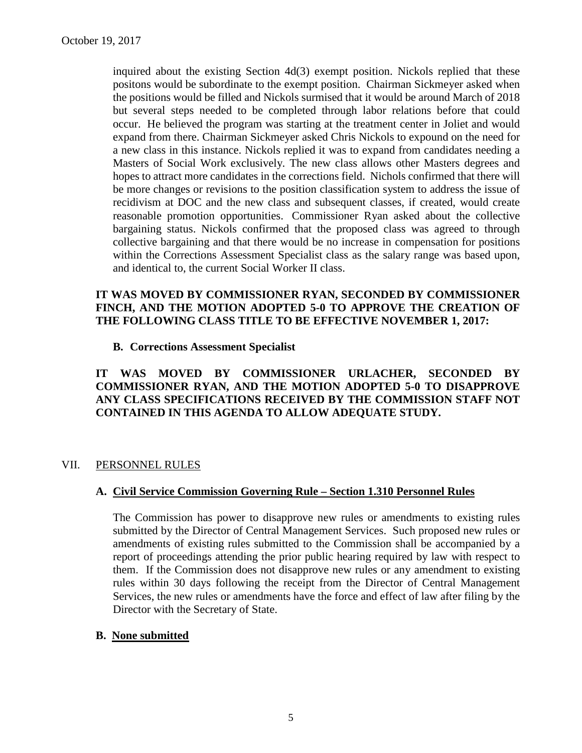inquired about the existing Section 4d(3) exempt position. Nickols replied that these positons would be subordinate to the exempt position. Chairman Sickmeyer asked when the positions would be filled and Nickols surmised that it would be around March of 2018 but several steps needed to be completed through labor relations before that could occur. He believed the program was starting at the treatment center in Joliet and would expand from there. Chairman Sickmeyer asked Chris Nickols to expound on the need for a new class in this instance. Nickols replied it was to expand from candidates needing a Masters of Social Work exclusively. The new class allows other Masters degrees and hopes to attract more candidates in the corrections field. Nichols confirmed that there will be more changes or revisions to the position classification system to address the issue of recidivism at DOC and the new class and subsequent classes, if created, would create reasonable promotion opportunities. Commissioner Ryan asked about the collective bargaining status. Nickols confirmed that the proposed class was agreed to through collective bargaining and that there would be no increase in compensation for positions within the Corrections Assessment Specialist class as the salary range was based upon, and identical to, the current Social Worker II class.

# **IT WAS MOVED BY COMMISSIONER RYAN, SECONDED BY COMMISSIONER FINCH, AND THE MOTION ADOPTED 5-0 TO APPROVE THE CREATION OF THE FOLLOWING CLASS TITLE TO BE EFFECTIVE NOVEMBER 1, 2017:**

### **B. Corrections Assessment Specialist**

# **IT WAS MOVED BY COMMISSIONER URLACHER, SECONDED BY COMMISSIONER RYAN, AND THE MOTION ADOPTED 5-0 TO DISAPPROVE ANY CLASS SPECIFICATIONS RECEIVED BY THE COMMISSION STAFF NOT CONTAINED IN THIS AGENDA TO ALLOW ADEQUATE STUDY.**

# VII. PERSONNEL RULES

# **A. Civil Service Commission Governing Rule – Section 1.310 Personnel Rules**

The Commission has power to disapprove new rules or amendments to existing rules submitted by the Director of Central Management Services. Such proposed new rules or amendments of existing rules submitted to the Commission shall be accompanied by a report of proceedings attending the prior public hearing required by law with respect to them. If the Commission does not disapprove new rules or any amendment to existing rules within 30 days following the receipt from the Director of Central Management Services, the new rules or amendments have the force and effect of law after filing by the Director with the Secretary of State.

### **B. None submitted**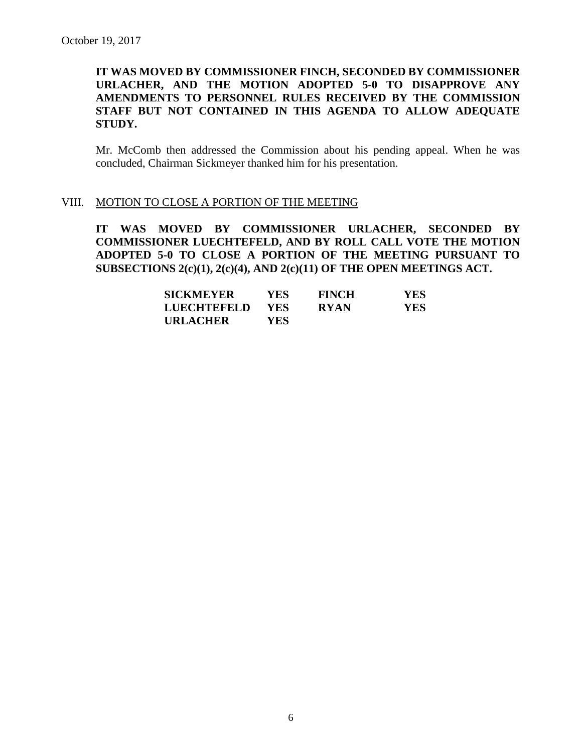# **IT WAS MOVED BY COMMISSIONER FINCH, SECONDED BY COMMISSIONER URLACHER, AND THE MOTION ADOPTED 5-0 TO DISAPPROVE ANY AMENDMENTS TO PERSONNEL RULES RECEIVED BY THE COMMISSION STAFF BUT NOT CONTAINED IN THIS AGENDA TO ALLOW ADEQUATE STUDY.**

Mr. McComb then addressed the Commission about his pending appeal. When he was concluded, Chairman Sickmeyer thanked him for his presentation.

#### VIII. MOTION TO CLOSE A PORTION OF THE MEETING

**IT WAS MOVED BY COMMISSIONER URLACHER, SECONDED BY COMMISSIONER LUECHTEFELD, AND BY ROLL CALL VOTE THE MOTION ADOPTED 5-0 TO CLOSE A PORTION OF THE MEETING PURSUANT TO SUBSECTIONS 2(c)(1), 2(c)(4), AND 2(c)(11) OF THE OPEN MEETINGS ACT.**

| <b>SICKMEYER</b> | YES. | <b>FINCH</b> | <b>YES</b> |
|------------------|------|--------------|------------|
| LUECHTEFELD      | YES. | <b>RYAN</b>  | YES.       |
| <b>URLACHER</b>  | YES. |              |            |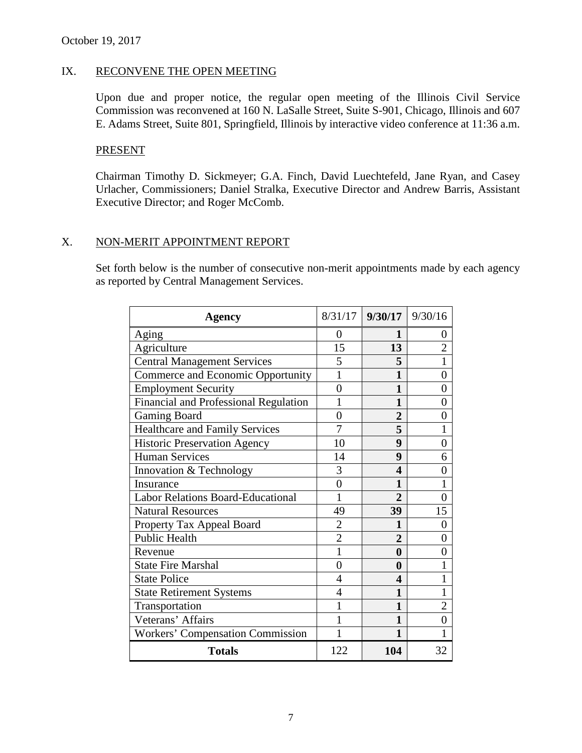# IX. RECONVENE THE OPEN MEETING

Upon due and proper notice, the regular open meeting of the Illinois Civil Service Commission was reconvened at 160 N. LaSalle Street, Suite S-901, Chicago, Illinois and 607 E. Adams Street, Suite 801, Springfield, Illinois by interactive video conference at 11:36 a.m.

### PRESENT

Chairman Timothy D. Sickmeyer; G.A. Finch, David Luechtefeld, Jane Ryan, and Casey Urlacher, Commissioners; Daniel Stralka, Executive Director and Andrew Barris, Assistant Executive Director; and Roger McComb.

# X. NON-MERIT APPOINTMENT REPORT

Set forth below is the number of consecutive non-merit appointments made by each agency as reported by Central Management Services.

| Agency                                   |                         | $8/31/17$ 9/30/17 9/30/16 |                |
|------------------------------------------|-------------------------|---------------------------|----------------|
| Aging                                    | 0                       | 1                         | 0              |
| Agriculture                              | 15                      | 13                        | $\overline{2}$ |
| <b>Central Management Services</b>       | 5                       | 5                         | 1              |
| Commerce and Economic Opportunity        | 1                       | 1                         | 0              |
| <b>Employment Security</b>               | $\overline{0}$          | 1                         | 0              |
| Financial and Professional Regulation    | 1                       | 1                         | 0              |
| <b>Gaming Board</b>                      | $\overline{0}$          | $\overline{2}$            | $\overline{0}$ |
| <b>Healthcare and Family Services</b>    | 7                       | 5                         | 1              |
| <b>Historic Preservation Agency</b>      | 10                      | 9                         | 0              |
| <b>Human Services</b>                    | 14                      | 9                         | 6              |
| Innovation & Technology                  | 3                       | 4                         | 0              |
| Insurance                                | $\overline{0}$          | 1                         |                |
| <b>Labor Relations Board-Educational</b> | 1                       | $\overline{2}$            | 0              |
| <b>Natural Resources</b>                 | 49                      | 39                        | 15             |
| Property Tax Appeal Board                | $\overline{\mathbf{c}}$ | 1                         | $\overline{0}$ |
| <b>Public Health</b>                     | $\overline{2}$          | $\overline{2}$            | $\overline{0}$ |
| Revenue                                  | $\mathbf{1}$            | $\boldsymbol{0}$          | 0              |
| <b>State Fire Marshal</b>                | 0                       | $\boldsymbol{0}$          |                |
| <b>State Police</b>                      | $\overline{4}$          | 4                         |                |
| <b>State Retirement Systems</b>          | $\overline{4}$          | 1                         |                |
| Transportation                           | 1                       | $\mathbf{1}$              | $\overline{2}$ |
| Veterans' Affairs                        | 1                       | 1                         | $\overline{0}$ |
| <b>Workers' Compensation Commission</b>  | 1                       | 1                         |                |
| <b>Totals</b>                            | 122                     | 104                       | 32             |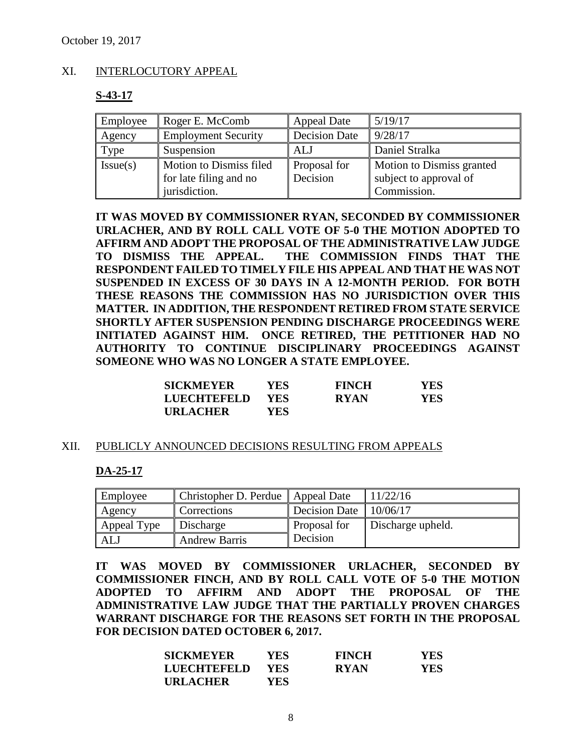# XI. INTERLOCUTORY APPEAL

# **S-43-17**

| Employee | Roger E. McComb            | <b>Appeal Date</b>   | 5/19/17                   |
|----------|----------------------------|----------------------|---------------------------|
| Agency   | <b>Employment Security</b> | <b>Decision Date</b> | 9/28/17                   |
| Type     | Suspension                 | ALJ                  | Daniel Stralka            |
| Issue(s) | Motion to Dismiss filed    | Proposal for         | Motion to Dismiss granted |
|          | for late filing and no     | Decision             | subject to approval of    |
|          | jurisdiction.              |                      | Commission.               |

**IT WAS MOVED BY COMMISSIONER RYAN, SECONDED BY COMMISSIONER URLACHER, AND BY ROLL CALL VOTE OF 5-0 THE MOTION ADOPTED TO AFFIRM AND ADOPT THE PROPOSAL OF THE ADMINISTRATIVE LAW JUDGE TO DISMISS THE APPEAL. THE COMMISSION FINDS THAT THE RESPONDENT FAILED TO TIMELY FILE HIS APPEAL AND THAT HE WAS NOT SUSPENDED IN EXCESS OF 30 DAYS IN A 12-MONTH PERIOD. FOR BOTH THESE REASONS THE COMMISSION HAS NO JURISDICTION OVER THIS MATTER. IN ADDITION, THE RESPONDENT RETIRED FROM STATE SERVICE SHORTLY AFTER SUSPENSION PENDING DISCHARGE PROCEEDINGS WERE INITIATED AGAINST HIM. ONCE RETIRED, THE PETITIONER HAD NO AUTHORITY TO CONTINUE DISCIPLINARY PROCEEDINGS AGAINST SOMEONE WHO WAS NO LONGER A STATE EMPLOYEE.** 

| <b>SICKMEYER</b> | YES.       | <b>FINCH</b> | <b>YES</b> |
|------------------|------------|--------------|------------|
| LUECHTEFELD      | <b>YES</b> | <b>RYAN</b>  | <b>YES</b> |
| <b>URLACHER</b>  | YES.       |              |            |

### XII. PUBLICLY ANNOUNCED DECISIONS RESULTING FROM APPEALS

### **DA-25-17**

| Employee    | Christopher D. Perdue   Appeal Date |               | 11/22/16          |
|-------------|-------------------------------------|---------------|-------------------|
| Agency      | Corrections                         | Decision Date | 10/06/17          |
| Appeal Type | Discharge                           | Proposal for  | Discharge upheld. |
| ALJ         | <b>Andrew Barris</b>                | Decision      |                   |

**IT WAS MOVED BY COMMISSIONER URLACHER, SECONDED BY COMMISSIONER FINCH, AND BY ROLL CALL VOTE OF 5-0 THE MOTION ADOPTED TO AFFIRM AND ADOPT THE PROPOSAL OF THE ADMINISTRATIVE LAW JUDGE THAT THE PARTIALLY PROVEN CHARGES WARRANT DISCHARGE FOR THE REASONS SET FORTH IN THE PROPOSAL FOR DECISION DATED OCTOBER 6, 2017.**

| <b>SICKMEYER</b>   | <b>YES</b> | <b>FINCH</b> | <b>YES</b> |
|--------------------|------------|--------------|------------|
| <b>LUECHTEFELD</b> | <b>YES</b> | <b>RYAN</b>  | <b>YES</b> |
| <b>URLACHER</b>    | YES.       |              |            |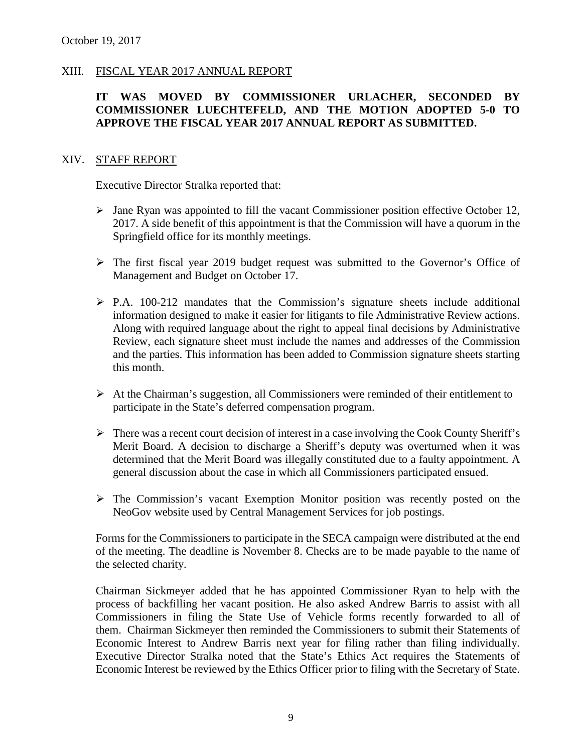# XIII. FISCAL YEAR 2017 ANNUAL REPORT

# **IT WAS MOVED BY COMMISSIONER URLACHER, SECONDED BY COMMISSIONER LUECHTEFELD, AND THE MOTION ADOPTED 5-0 TO APPROVE THE FISCAL YEAR 2017 ANNUAL REPORT AS SUBMITTED.**

#### XIV. STAFF REPORT

Executive Director Stralka reported that:

- $\triangleright$  Jane Ryan was appointed to fill the vacant Commissioner position effective October 12, 2017. A side benefit of this appointment is that the Commission will have a quorum in the Springfield office for its monthly meetings.
- The first fiscal year 2019 budget request was submitted to the Governor's Office of Management and Budget on October 17.
- $\triangleright$  P.A. 100-212 mandates that the Commission's signature sheets include additional information designed to make it easier for litigants to file Administrative Review actions. Along with required language about the right to appeal final decisions by Administrative Review, each signature sheet must include the names and addresses of the Commission and the parties. This information has been added to Commission signature sheets starting this month.
- $\triangleright$  At the Chairman's suggestion, all Commissioners were reminded of their entitlement to participate in the State's deferred compensation program.
- $\triangleright$  There was a recent court decision of interest in a case involving the Cook County Sheriff's Merit Board. A decision to discharge a Sheriff's deputy was overturned when it was determined that the Merit Board was illegally constituted due to a faulty appointment. A general discussion about the case in which all Commissioners participated ensued.
- The Commission's vacant Exemption Monitor position was recently posted on the NeoGov website used by Central Management Services for job postings.

Forms for the Commissioners to participate in the SECA campaign were distributed at the end of the meeting. The deadline is November 8. Checks are to be made payable to the name of the selected charity.

Chairman Sickmeyer added that he has appointed Commissioner Ryan to help with the process of backfilling her vacant position. He also asked Andrew Barris to assist with all Commissioners in filing the State Use of Vehicle forms recently forwarded to all of them. Chairman Sickmeyer then reminded the Commissioners to submit their Statements of Economic Interest to Andrew Barris next year for filing rather than filing individually. Executive Director Stralka noted that the State's Ethics Act requires the Statements of Economic Interest be reviewed by the Ethics Officer prior to filing with the Secretary of State.